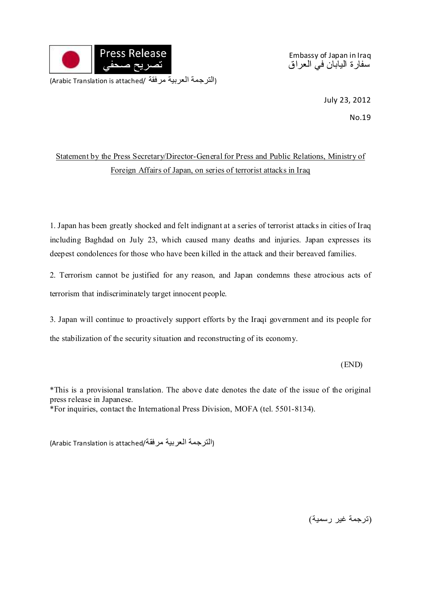

Embassy of Japan in Iraq سفارة اليابان في العراق

July 23, 2012

No.19

## Statement by the Press Secretary/Director-General for Press and Public Relations, Ministry of Foreign Affairs of Japan, on series of terrorist attacks in Iraq

1. Japan has been greatly shocked and felt indignant at a series of terrorist attacks in cities of Iraq including Baghdad on July 23, which caused many deaths and injuries. Japan expresses its deepest condolences for those who have been killed in the attack and their bereaved families.

2. Terrorism cannot be justified for any reason, and Japan condemns these atrocious acts of terrorism that indiscriminately target innocent people.

3. Japan will continue to proactively support efforts by the Iraqi government and its people for the stabilization of the security situation and reconstructing of its economy.

(END)

\*This is a provisional translation. The above date denotes the date of the issue of the original press release in Japanese.

\*For inquiries, contact the International Press Division, MOFA (tel. 5501-8134).

(Arabic Translation is attached/مرفقة العربية الترجمة(

(ترجمة غير رسمية)